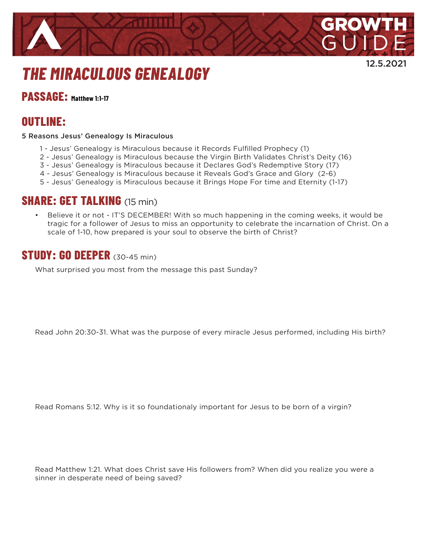

12.5.2021

# *THE MIRACULOUS GENEALOGY*

**PASSAGE: Matthew 1:1-17**

# **OUTLINE:**

5 Reasons Jesus' Genealogy Is Miraculous

- 1 Jesus' Genealogy is Miraculous because it Records Fulfilled Prophecy (1)
- 2 Jesus' Genealogy is Miraculous because the Virgin Birth Validates Christ's Deity (16)
- 3 Jesus' Genealogy is Miraculous because it Declares God's Redemptive Story (17)
- 4 Jesus' Genealogy is Miraculous because it Reveals God's Grace and Glory (2-6)
- 5 Jesus' Genealogy is Miraculous because it Brings Hope For time and Eternity (1-17)

#### **SHARE: GET TALKING** (15 min)

Believe it or not - IT'S DECEMBER! With so much happening in the coming weeks, it would be tragic for a follower of Jesus to miss an opportunity to celebrate the incarnation of Christ. On a scale of 1-10, how prepared is your soul to observe the birth of Christ?

#### **STUDY: GO DEEPER** (30-45 min)

What surprised you most from the message this past Sunday?

Read John 20:30-31. What was the purpose of every miracle Jesus performed, including His birth?

Read Romans 5:12. Why is it so foundationaly important for Jesus to be born of a virgin?

Read Matthew 1:21. What does Christ save His followers from? When did you realize you were a sinner in desperate need of being saved?